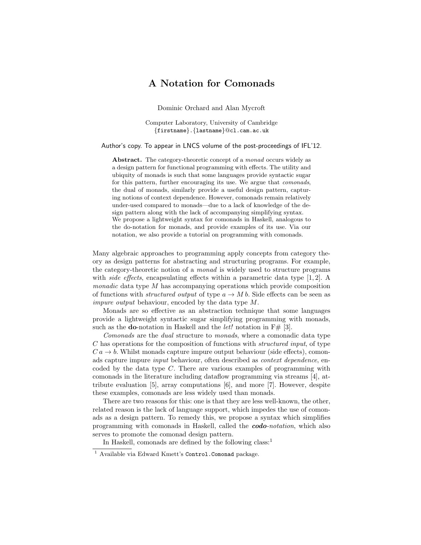# A Notation for Comonads

Dominic Orchard and Alan Mycroft

Computer Laboratory, University of Cambridge {firstname}.{lastname}@cl.cam.ac.uk

Author's copy. To appear in LNCS volume of the post-proceedings of IFL'12.

Abstract. The category-theoretic concept of a *monad* occurs widely as a design pattern for functional programming with effects. The utility and ubiquity of monads is such that some languages provide syntactic sugar for this pattern, further encouraging its use. We argue that *comonads*, the dual of monads, similarly provide a useful design pattern, capturing notions of context dependence. However, comonads remain relatively under-used compared to monads—due to a lack of knowledge of the design pattern along with the lack of accompanying simplifying syntax. We propose a lightweight syntax for comonads in Haskell, analogous to the do-notation for monads, and provide examples of its use. Via our notation, we also provide a tutorial on programming with comonads.

Many algebraic approaches to programming apply concepts from category theory as design patterns for abstracting and structuring programs. For example, the category-theoretic notion of a monad is widely used to structure programs with *side effects*, encapsulating effects within a parametric data type  $[1, 2]$ . A monadic data type M has accompanying operations which provide composition of functions with *structured output* of type  $a \to M b$ . Side effects can be seen as impure output behaviour, encoded by the data type M.

Monads are so effective as an abstraction technique that some languages provide a lightweight syntactic sugar simplifying programming with monads, such as the **do**-notation in Haskell and the *let!* notation in  $F# [3]$ .

Comonads are the dual structure to monads, where a comonadic data type C has operations for the composition of functions with structured input, of type  $Ca \rightarrow b$ . Whilst monads capture impure output behaviour (side effects), comonads capture impure input behaviour, often described as context dependence, encoded by the data type C. There are various examples of programming with comonads in the literature including dataflow programming via streams [4], attribute evaluation [5], array computations [6], and more [7]. However, despite these examples, comonads are less widely used than monads.

There are two reasons for this: one is that they are less well-known, the other, related reason is the lack of language support, which impedes the use of comonads as a design pattern. To remedy this, we propose a syntax which simplifies programming with comonads in Haskell, called the codo-notation, which also serves to promote the comonad design pattern.

In Haskell, comonads are defined by the following class:<sup>1</sup>

<sup>1</sup> Available via Edward Kmett's Control.Comonad package.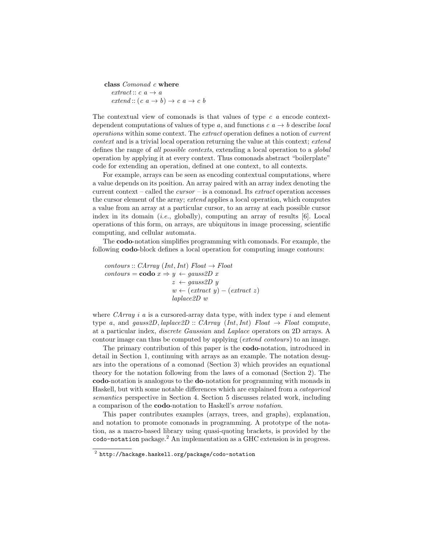class Comonad c where extract :: c  $a \rightarrow a$  $extend: (c \ a \rightarrow b) \rightarrow c \ a \rightarrow c \ b$ 

The contextual view of comonads is that values of type  $c \ a$  encode contextdependent computations of values of type a, and functions  $c \ a \rightarrow b$  describe local operations within some context. The extract operation defines a notion of current context and is a trivial local operation returning the value at this context; extend defines the range of all possible contexts, extending a local operation to a global operation by applying it at every context. Thus comonads abstract "boilerplate" code for extending an operation, defined at one context, to all contexts.

For example, arrays can be seen as encoding contextual computations, where a value depends on its position. An array paired with an array index denoting the current context – called the  $\text{curs}$  – is a comonad. Its  $\text{extract}$  operation accesses the cursor element of the array; extend applies a local operation, which computes a value from an array at a particular cursor, to an array at each possible cursor index in its domain  $(i.e., globally)$ , computing an array of results [6]. Local operations of this form, on arrays, are ubiquitous in image processing, scientific computing, and cellular automata.

The codo-notation simplifies programming with comonads. For example, the following codo-block defines a local operation for computing image contours:

contours :: CArray (Int, Int)  $Float \rightarrow float$ contours = codo  $x \Rightarrow y \leftarrow qauss2D x$  $z \leftarrow qauss2D y$  $w \leftarrow (extract \, y) - (extract \, z)$ laplace2D w

where *CArray*  $i$  *a* is a cursored-array data type, with index type  $i$  and element type a, and gauss2D, laplace2D :: CArray (Int, Int) Float  $\rightarrow$  Float compute, at a particular index, discrete Gaussian and Laplace operators on 2D arrays. A contour image can thus be computed by applying (extend contours) to an image.

The primary contribution of this paper is the codo-notation, introduced in detail in Section 1, continuing with arrays as an example. The notation desugars into the operations of a comonad (Section 3) which provides an equational theory for the notation following from the laws of a comonad (Section 2). The codo-notation is analogous to the do-notation for programming with monads in Haskell, but with some notable differences which are explained from a categorical semantics perspective in Section 4. Section 5 discusses related work, including a comparison of the codo-notation to Haskell's arrow notation.

This paper contributes examples (arrays, trees, and graphs), explanation, and notation to promote comonads in programming. A prototype of the notation, as a macro-based library using quasi-quoting brackets, is provided by the  $\cot$ -notation package.<sup>2</sup> An implementation as a GHC extension is in progress.

 $^{\rm 2}$  http://hackage.haskell.org/package/codo-notation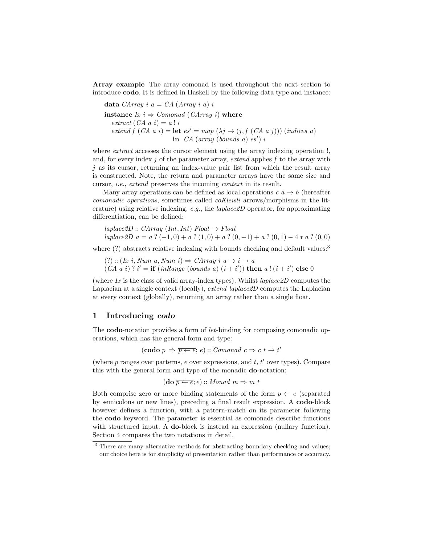Array example The array comonad is used throughout the next section to introduce codo. It is defined in Haskell by the following data type and instance:

data C $Array \, i \, a = CA \, (Array \, i \, a) \, i$ instance  $Ix \neq Comonad (CArray i)$  where extract  $(CA \ a \ i) = a \vdots i$ extend f  $(CA \ a \ i) = \text{let } es' = map \ (\lambda j \rightarrow (j, f (CA \ a \ j)))$  (indices a) in  $CA$  (array (bounds a) es') i

where *extract* accesses the cursor element using the array indexing operation !, and, for every index j of the parameter array, extend applies f to the array with  $j$  as its cursor, returning an index-value pair list from which the result array is constructed. Note, the return and parameter arrays have the same size and cursor, i.e., extend preserves the incoming context in its result.

Many array operations can be defined as local operations  $c \ a \rightarrow b$  (hereafter comonadic operations, sometimes called coKleisli arrows/morphisms in the literature) using relative indexing, e.g., the *laplace2D* operator, for approximating differentiation, can be defined:

 $laplace2D :: CArray (Int,Int)$   $Float \rightarrow Float$ laplace2D  $a = a ? (-1,0) + a ? (1,0) + a ? (0,-1) + a ? (0,1) - 4 * a ? (0,0)$ 

where  $(?)$  abstracts relative indexing with bounds checking and default values:<sup>3</sup>

 $(?) :: (Ix i, Num a, Num i) \Rightarrow CArray i a \rightarrow i \rightarrow a$  $(CA \ a \ i)$ ?  $i' = \text{if}$   $(inRange \ (bounds \ a) \ (i + i'))$  then  $a \ ! \ (i + i')$  else 0

(where  $Ix$  is the class of valid array-index types). Whilst  $laplace 2D$  computes the Laplacian at a single context (locally), extend laplace2D computes the Laplacian at every context (globally), returning an array rather than a single float.

# 1 Introducing codo

The **codo**-notation provides a form of *let*-binding for composing comonadic operations, which has the general form and type:

 $(\text{code } p \Rightarrow \overline{p \leftarrow e}; e) :: Comonad \ c \Rightarrow c \ t \rightarrow t'$ 

(where  $p$  ranges over patterns,  $e$  over expressions, and  $t$ ,  $t'$  over types). Compare this with the general form and type of the monadic do-notation:

$$
(\mathbf{do}\ \overline{p\leftarrow e}; e) :: Monad\ m \Rightarrow m\ t
$$

Both comprise zero or more binding statements of the form  $p \leftarrow e$  (separated by semicolons or new lines), preceding a final result expression. A codo-block however defines a function, with a pattern-match on its parameter following the codo keyword. The parameter is essential as comonads describe functions with structured input. A **do**-block is instead an expression (nullary function). Section 4 compares the two notations in detail.

<sup>&</sup>lt;sup>3</sup> There are many alternative methods for abstracting boundary checking and values; our choice here is for simplicity of presentation rather than performance or accuracy.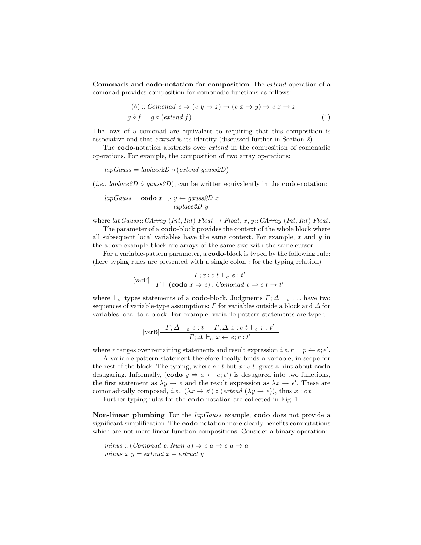Comonads and codo-notation for composition The extend operation of a comonad provides composition for comonadic functions as follows:

$$
\begin{aligned}\n\text{(ô)} :: Comonad \ c \Rightarrow (c \ y \to z) \to (c \ x \to y) \to c \ x \to z \\
g \ \text{ò} \ f &= g \circ (extend \ f)\n\end{aligned}\n\tag{1}
$$

The laws of a comonad are equivalent to requiring that this composition is associative and that extract is its identity (discussed further in Section 2).

The codo-notation abstracts over extend in the composition of comonadic operations. For example, the composition of two array operations:

 $lapGauss = laplace2D \circ (extend \; gauss2D)$ 

(*i.e.*, *laplace2D*  $\hat{\circ}$  *gauss2D*), can be written equivalently in the **codo-**notation:

 $lapGauss = \textbf{code} \ x \Rightarrow y \leftarrow gauss2D \ x$ laplace2D y

where  $lapGauss::CArray (Int,Int)$  Float  $\rightarrow$  Float, x, y::CArray (Int, Int) Float.

The parameter of a **codo**-block provides the context of the whole block where all subsequent local variables have the same context. For example,  $x$  and  $y$  in the above example block are arrays of the same size with the same cursor.

For a variable-pattern parameter, a codo-block is typed by the following rule: (here typing rules are presented with a single colon : for the typing relation)

$$
[\text{varP}] \frac{\Gamma; x:c \ t \vdash_c e:t'}{\Gamma \vdash (\textbf{code } x \Rightarrow e): \textit{Comonad } c \Rightarrow c \ t \rightarrow t'}
$$

where  $\vdash_c$  types statements of a **codo**-block. Judgments  $\Gamma$ ;  $\Delta \vdash_c \ldots$  have two sequences of variable-type assumptions:  $\Gamma$  for variables outside a block and  $\Delta$  for variables local to a block. For example, variable-pattern statements are typed:

$$
[\text{varB}] \frac{\Gamma; \Delta \vdash_c e : t \quad \Gamma; \Delta, x : c \ t \vdash_c r : t'}{\Gamma; \Delta \vdash_c x \leftarrow e; r : t'}
$$

where r ranges over remaining statements and result expression *i.e.*  $r = \overline{p \leftarrow e}$ ; *e'*.

A variable-pattern statement therefore locally binds a variable, in scope for the rest of the block. The typing, where  $e : t$  but  $x : c$ , gives a hint about **codo** desugaring. Informally,  $(codo y \Rightarrow x \leftarrow e; e')$  is desugared into two functions, the first statement as  $\lambda y \to e$  and the result expression as  $\lambda x \to e'$ . These are comonadically composed, *i.e.*,  $(\lambda x \rightarrow e') \circ (extend(\lambda y \rightarrow e))$ , thus  $x : c t$ .

Further typing rules for the codo-notation are collected in Fig. 1.

Non-linear plumbing For the *lapGauss* example, codo does not provide a significant simplification. The codo-notation more clearly benefits computations which are not mere linear function compositions. Consider a binary operation:

```
minus :: (Comonad c, Num a) \Rightarrow c a \rightarrow c a \rightarrow a
minus x \, y = \text{extract } x - \text{extract } y
```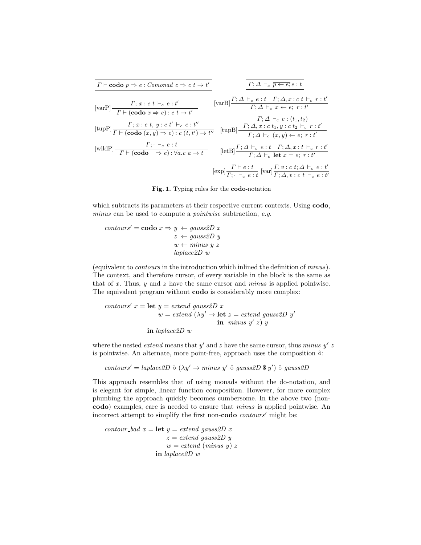$$
\boxed{\Gamma \vdash \textbf{code } p \Rightarrow e : \textit{Comonad } c \Rightarrow c \ t \rightarrow t' \quad \boxed{\Gamma; \Delta \vdash_c \overline{p \leftarrow e; e:t} \quad \boxed{\Gamma; \Delta \vdash_c \overline{p \leftarrow e; e:t} \quad \boxed{\Gamma; \Delta \vdash_c t \cdot r \cdot t' \quad \boxed{\Gamma; \Delta \vdash_c t \cdot r \cdot t' \quad \boxed{\Gamma; \Delta \vdash_c t \cdot r \cdot t' \quad \boxed{\Gamma; \Delta \vdash_c t \cdot r \cdot t' \quad \boxed{\Gamma; \Delta \vdash_c t \cdot r \cdot t' \quad \boxed{\Gamma; \Delta \vdash_c t \cdot r \cdot t' \quad \boxed{\Gamma; \Delta \vdash_c t \cdot r \cdot t' \quad \boxed{\Gamma; \Delta \vdash_c t \cdot r \cdot t' \quad \boxed{\Gamma; \Delta \vdash_c t \cdot r \cdot t' \quad \boxed{\Gamma; \Delta \vdash_c t \cdot r \cdot t' \quad \boxed{\Gamma; \Delta \vdash_c t \cdot r \cdot t' \quad \boxed{\Gamma; \Delta \vdash_c t \cdot r \cdot t' \quad \boxed{\Gamma; \Delta \vdash_c t \cdot r \cdot t' \quad \boxed{\Gamma; \Delta \vdash_c t \cdot r \cdot t' \quad \boxed{\Gamma; \Delta \vdash_c t \cdot r \cdot t' \quad \boxed{\Gamma; \Delta \vdash_c t \cdot r \cdot t' \quad \boxed{\Gamma; \Delta \vdash_c t \cdot r \cdot t' \quad \boxed{\Gamma; \Delta \vdash_c t \cdot r \cdot t' \quad \boxed{\Gamma; \Delta \vdash_c t \cdot r \cdot t' \quad \boxed{\Gamma; \Delta \vdash_c t \cdot r \cdot t' \quad \boxed{\Gamma; \Delta \vdash_c t \cdot r \cdot t' \quad \boxed{\Gamma; \Delta \vdash_c t \cdot r \cdot t' \quad \boxed{\Gamma; \Delta \vdash_c t \cdot t \cdot r \cdot t' \quad \boxed{\Gamma; \Delta \vdash_c t \cdot t \cdot t \cdot t' \cdot \boxed{\Gamma; \Delta, v \cdot c \cdot t \cdot \Delta \vdash_c t' \cdot t' \quad \boxed{\Gamma; \Delta, v \cdot c \cdot t \cdot \Delta \vdash_c t \cdot t' \quad \boxed{\Gamma; \Delta, v \cdot c \cdot t \cdot \Delta \vdash_c t \cdot t' \quad \boxed{\Gamma; \Delta, v \cdot c \cdot t \cdot \Delta \vdash_c t' \cdot t' \quad \boxed{\Gamma; \Delta, v \cdot c \cdot t \cdot \Delta \vdash_c t' \cdot t' \quad \boxed{\Gamma; \Delta
$$

Fig. 1. Typing rules for the codo-notation

which subtracts its parameters at their respective current contexts. Using **codo**, minus can be used to compute a *pointwise* subtraction, e.g.

$$
contours' = \text{code } x \Rightarrow y \leftarrow gauss2D \ x
$$
  

$$
z \leftarrow gauss2D \ y
$$
  

$$
w \leftarrow minus \ y \ z
$$
  

$$
laplace2D \ w
$$

(equivalent to contours in the introduction which inlined the definition of minus). The context, and therefore cursor, of every variable in the block is the same as that of  $x$ . Thus,  $y$  and  $z$  have the same cursor and *minus* is applied pointwise. The equivalent program without codo is considerably more complex:

contours'  $x = \text{let } y = \text{extend } \text{gauss2D } x$  $w = extend (\lambda y' \rightarrow \text{let } z = extend \; gauss2D \; y'$ in minus  $y'$  z)  $y$ in laplace2D w

where the nested *extend* means that  $y'$  and z have the same cursor, thus minus  $y'$  z is pointwise. An alternate, more point-free, approach uses the composition  $\hat{\circ}$ :

contours' = laplace 2D ô  $(\lambda y' \rightarrow minus y'$  ô gauss 2D  $(y')$  ô gauss 2D

This approach resembles that of using monads without the do-notation, and is elegant for simple, linear function composition. However, for more complex plumbing the approach quickly becomes cumbersome. In the above two (noncodo) examples, care is needed to ensure that minus is applied pointwise. An incorrect attempt to simplify the first non-codo *contours'* might be:

```
contour_bad x = \text{let } y = \text{extend } \text{gauss2D } xz = extend gauss2D y
                       w = extend (minus y) zin laplace2D w
```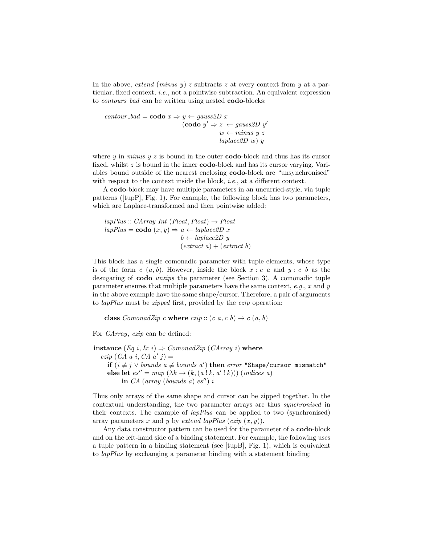In the above, extend (minus y) z subtracts z at every context from y at a particular, fixed context, i.e., not a pointwise subtraction. An equivalent expression to *contours\_bad* can be written using nested **codo**-blocks:

contour\_bad = codo  $x \Rightarrow y \leftarrow gauss2D$  x  $(\text{code } y' \Rightarrow z \leftarrow gauss2D \ y'$  $w \leftarrow minus \; y \; z$  $laplace 2D w) y$ 

where y in minus  $y \, z$  is bound in the outer **codo**-block and thus has its cursor fixed, whilst  $z$  is bound in the inner **codo**-block and has its cursor varying. Variables bound outside of the nearest enclosing codo-block are "unsynchronised" with respect to the context inside the block, *i.e.*, at a different context.

A codo-block may have multiple parameters in an uncurried-style, via tuple patterns ([tupP], Fig. 1). For example, the following block has two parameters, which are Laplace-transformed and then pointwise added:

 $lapPlus :: CArray Int (Float, Float) \rightarrow Float$  $lapPlus = \textbf{code}(x, y) \Rightarrow a \leftarrow laplace2D \ x$  $b \leftarrow laplace2D y$  $(\text{extract } a) + (\text{extract } b)$ 

This block has a single comonadic parameter with tuple elements, whose type is of the form c  $(a, b)$ . However, inside the block  $x : c \ a$  and  $y : c \ b$  as the desugaring of codo unzips the parameter (see Section 3). A comonadic tuple parameter ensures that multiple parameters have the same context,  $e.g., x$  and  $y$ in the above example have the same shape/cursor. Therefore, a pair of arguments to lapPlus must be zipped first, provided by the czip operation:

class *ComonadZip* c where  $czip :: (c \ a, c \ b) \rightarrow c \ (a, b)$ 

For *CArray*, *czip* can be defined:

instance  $(Eq \text{ } i, Ix \text{ } i) \Rightarrow ComonadZip (CArray \text{ } i)$  where  $czip (CA \ a \ i, CA \ a' j) =$ if  $(i \not\equiv j \vee bounds \ a \not\equiv bounds \ a')$  then  $error$  "Shape/cursor mismatch" else let  $es'' = map (\lambda k \rightarrow (k, (a! k, a'! k)))$  (indices a) in CA (array (bounds a)  $es'$ ) i

Thus only arrays of the same shape and cursor can be zipped together. In the contextual understanding, the two parameter arrays are thus synchronised in their contexts. The example of lapPlus can be applied to two (synchronised) array parameters x and y by extend lapPlus (czip  $(x, y)$ ).

Any data constructor pattern can be used for the parameter of a codo-block and on the left-hand side of a binding statement. For example, the following uses a tuple pattern in a binding statement (see [tupB], Fig. 1), which is equivalent to lapPlus by exchanging a parameter binding with a statement binding: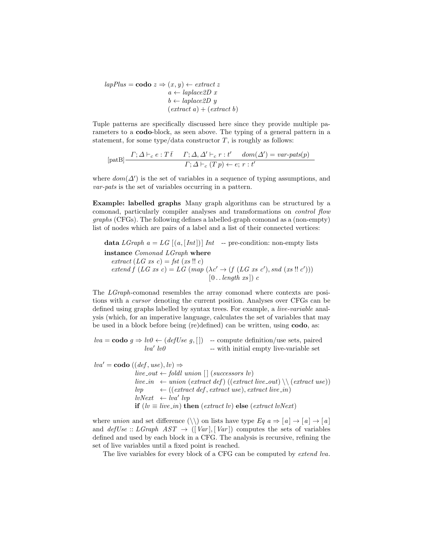$lapPlus = \textbf{code} \ z \Rightarrow (x, y) \leftarrow extract \ z$  $a \leftarrow laplace2D$  x  $b \leftarrow laplace2D \ y$  $(\text{extract } a) + (\text{extract } b)$ 

Tuple patterns are specifically discussed here since they provide multiple parameters to a codo-block, as seen above. The typing of a general pattern in a statement, for some type/data constructor  $T$ , is roughly as follows:

$$
[\text{patB}] \frac{\Gamma;\Delta\vdash_c e: T\bar{t}\quad \Gamma;\Delta,\Delta'\vdash_c r:t'\quad dom(\Delta')=var-pats(p)}{\Gamma;\Delta\vdash_c (Tp)\leftarrow e;\, r:t'}
$$

where  $dom(\Delta')$  is the set of variables in a sequence of typing assumptions, and var-pats is the set of variables occurring in a pattern.

Example: labelled graphs Many graph algorithms can be structured by a comonad, particularly compiler analyses and transformations on control flow graphs (CFGs). The following defines a labelled-graph comonad as a (non-empty) list of nodes which are pairs of a label and a list of their connected vertices:

data  $LGraph \, a = LG \, [(a, [Int])] \, Int \quad - \text{pre-condition: non-empty lists}$ instance Comonad LGraph where extract  $(LG \, xs \, c) = \int st \, (xs \, ! \, c)$ extend  $f(LG \, xs \, c) = LG \, (map \, (\lambda c' \rightarrow (f(LG \, xs \, c'),snd \, (xs!! \, c')))$  $[0$ . *length* xs $\vert$ ) c

The LGraph-comonad resembles the array comonad where contexts are positions with a cursor denoting the current position. Analyses over CFGs can be defined using graphs labelled by syntax trees. For example, a live-variable analysis (which, for an imperative language, calculates the set of variables that may be used in a block before being (re)defined) can be written, using codo, as:

 $lva = \mathbf{code} \ g \Rightarrow hv0 \leftarrow (defUse \ g, [] )$  -- compute definition/use sets, paired  $lva'$   $lv0$ -- with initial empty live-variable set

 $lva' = \textbf{code}((def, use), lw) \Rightarrow$ live\_out ← foldl union  $[$  { (successors lv) live in  $\leftarrow$  union (extract def) ((extract live out) \\ (extract use))  $lvp \leftarrow ((extract \ def, extract \ use), extract \ live \ in)$  $\ell wNext \leftarrow \ell wa' \; lvp$ if  $(lv \equiv live_in)$  then  $(extract \,lv)$  else  $(extract \,lvNext)$ 

where union and set difference  $(\setminus)$  on lists have type Eq  $a \Rightarrow [a] \rightarrow [a]$ and defUse :: LGraph  $AST \rightarrow ([Var], [Var])$  computes the sets of variables defined and used by each block in a CFG. The analysis is recursive, refining the set of live variables until a fixed point is reached.

The live variables for every block of a CFG can be computed by *extend lva*.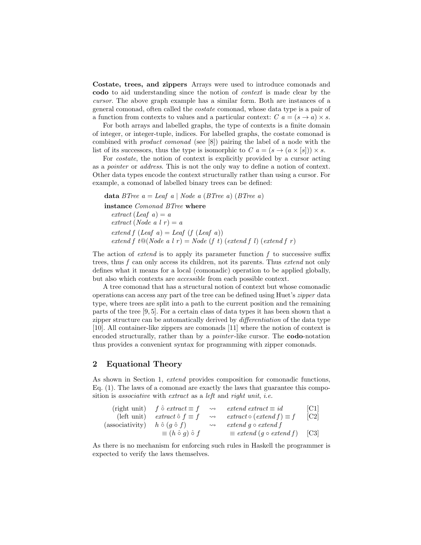Costate, trees, and zippers Arrays were used to introduce comonads and codo to aid understanding since the notion of context is made clear by the cursor. The above graph example has a similar form. Both are instances of a general comonad, often called the costate comonad, whose data type is a pair of a function from contexts to values and a particular context:  $C a = (s \rightarrow a) \times s$ .

For both arrays and labelled graphs, the type of contexts is a finite domain of integer, or integer-tuple, indices. For labelled graphs, the costate comonad is combined with product comonad (see [8]) pairing the label of a node with the list of its successors, thus the type is isomorphic to  $C a = (s \rightarrow (a \times [s])) \times s$ .

For costate, the notion of context is explicitly provided by a cursor acting as a pointer or address. This is not the only way to define a notion of context. Other data types encode the context structurally rather than using a cursor. For example, a comonad of labelled binary trees can be defined:

data BTree  $a =$  Leaf  $a \mid Node \ a \ (BTree \ a) \ (BTree \ a)$ instance Comonad BTree where  $extract (Leaf\ a) = a$  $extract(Node\ a\ l\ r) = a$ extend f (Leaf a) = Leaf (f (Leaf a)) extend f t $\mathcal{Q}(Node \ a \ l \ r) = Node \ (f \ t) \ (extend \ f \ l) \ (extend \ f \ r)$ 

The action of *extend* is to apply its parameter function  $f$  to successive suffix trees, thus  $f$  can only access its children, not its parents. Thus *extend* not only defines what it means for a local (comonadic) operation to be applied globally, but also which contexts are accessible from each possible context.

A tree comonad that has a structural notion of context but whose comonadic operations can access any part of the tree can be defined using Huet's zipper data type, where trees are split into a path to the current position and the remaining parts of the tree [9, 5]. For a certain class of data types it has been shown that a zipper structure can be automatically derived by differentiation of the data type [10]. All container-like zippers are comonads [11] where the notion of context is encoded structurally, rather than by a *pointer*-like cursor. The **codo-**notation thus provides a convenient syntax for programming with zipper comonads.

## 2 Equational Theory

As shown in Section 1, extend provides composition for comonadic functions, Eq. (1). The laws of a comonad are exactly the laws that guarantee this composition is *associative* with *extract* as a *left* and *right unit, i.e.* 

|                      | (right unit) $f \hat{\circ}$ extract $\equiv f \quad \rightsquigarrow$ |                    | $extend \; extract \equiv id$                   | [CI]                       |
|----------------------|------------------------------------------------------------------------|--------------------|-------------------------------------------------|----------------------------|
| $(\text{left unit})$ | $extract \hat{\circ} f \equiv f$                                       | $\rightsquigarrow$ | $extract \circ (extend f) \equiv f$             | $\left[ \text{C2} \right]$ |
| (associativity)      | $h \hat{\circ} (q \hat{\circ} f)$                                      | $\rightsquigarrow$ | extend $q \circ \text{extend } f$               |                            |
|                      | $\equiv$ $(h \circ g) \circ f$                                         |                    | $\equiv \text{extend}(g \circ \text{extend} f)$ | $\left[{\rm C}3\right]$    |

As there is no mechanism for enforcing such rules in Haskell the programmer is expected to verify the laws themselves.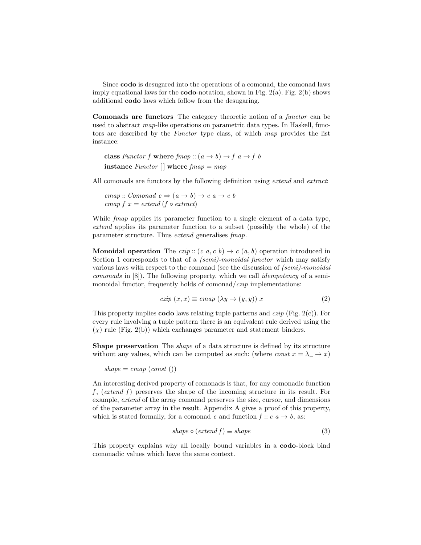Since codo is desugared into the operations of a comonad, the comonad laws imply equational laws for the **codo**-notation, shown in Fig. 2(a). Fig. 2(b) shows additional codo laws which follow from the desugaring.

Comonads are functors The category theoretic notion of a functor can be used to abstract map-like operations on parametric data types. In Haskell, functors are described by the Functor type class, of which map provides the list instance:

class Functor f where  ${map} :: (a \rightarrow b) \rightarrow f \ a \rightarrow f \ b$ instance  $\text{Functor} \mid \mid \textbf{where } \text{fmap} = \text{map}$ 

All comonads are functors by the following definition using *extend* and *extract*:

cmap :: Comonad  $c \Rightarrow (a \rightarrow b) \rightarrow c \ a \rightarrow c \ b$ cmap  $f\ x = \text{extend }(f \circ \text{extract})$ 

While *fmap* applies its parameter function to a single element of a data type, extend applies its parameter function to a subset (possibly the whole) of the parameter structure. Thus extend generalises fmap.

**Monoidal operation** The czip ::  $(c \ a, c \ b) \rightarrow c \ (a, b)$  operation introduced in Section 1 corresponds to that of a *(semi)-monoidal functor* which may satisfy various laws with respect to the comonad (see the discussion of (semi)-monoidal comonads in  $[8]$ . The following property, which we call *idempotency* of a semimonoidal functor, frequently holds of comonad/ $czip$  implementations:

$$
czip (x, x) \equiv cmap (\lambda y \to (y, y)) x \tag{2}
$$

This property implies **codo** laws relating tuple patterns and  $czip$  (Fig. 2(c)). For every rule involving a tuple pattern there is an equivalent rule derived using the  $(\chi)$  rule (Fig. 2(b)) which exchanges parameter and statement binders.

**Shape preservation** The *shape* of a data structure is defined by its structure without any values, which can be computed as such: (where *const*  $x = \lambda_{-} \rightarrow x$ )

 $shape = cmap (const ())$ 

An interesting derived property of comonads is that, for any comonadic function f, (extend f) preserves the shape of the incoming structure in its result. For example, extend of the array comonad preserves the size, cursor, and dimensions of the parameter array in the result. Appendix A gives a proof of this property, which is stated formally, for a comonad c and function  $f :: c a \rightarrow b$ , as:

$$
shape \circ (extend \, f) \equiv shape \tag{3}
$$

This property explains why all locally bound variables in a codo-block bind comonadic values which have the same context.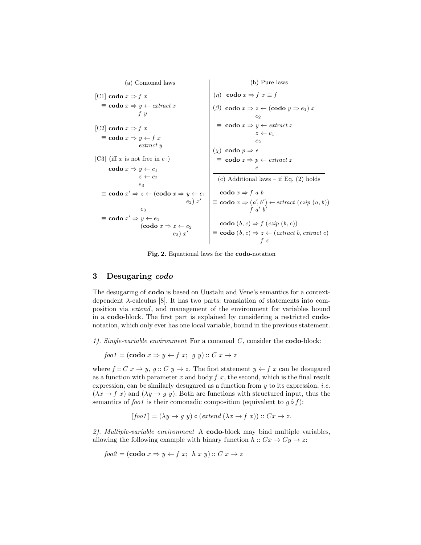(a) Comonad laws [C1] codo  $x \Rightarrow f x$ ≡ codo x ⇒ y ← extract x f y [C2] codo  $x \Rightarrow f x$ ≡ codo x ⇒ y ← f x extract y [C3] (iff x is not free in  $e_1$ ) codo  $x \Rightarrow y \leftarrow e_1$  $z \leftarrow e_2$  $\mathfrak{e}_3$  $\equiv$  codo  $x' \Rightarrow z \leftarrow ($ codo  $x \Rightarrow y \leftarrow e_1$  $(e_2)$   $x'$  $e_3$  $\equiv$  codo  $x' \Rightarrow y \leftarrow e_1$ (codo  $x \Rightarrow z \leftarrow e_2$  $(e_3)$  x' (b) Pure laws (η) codo  $x \Rightarrow f x \equiv f$ ( $\beta$ ) codo  $x \Rightarrow z \leftarrow ($ codo  $y \Rightarrow e_1) x$  $e_2$ ≡ codo x ⇒ y ← extract x  $z \leftarrow e_1$ e2  $(\chi)$  codo  $p \Rightarrow e$ ≡ codo z ⇒ p ← extract z e (c) Additional laws – if Eq. (2) holds codo  $x \Rightarrow f \ a \ b$  $\equiv$  codo  $x \Rightarrow (a', b') \leftarrow extract (czip (a, b))$  $f$  a' b' codo  $(b, c) \Rightarrow f(czip (b, c))$  $\equiv$  codo  $(b, c) \Rightarrow z \leftarrow (extract\ b, extract\ c)$ f z

Fig. 2. Equational laws for the codo-notation

## 3 Desugaring codo

The desugaring of codo is based on Uustalu and Vene's semantics for a contextdependent  $\lambda$ -calculus [8]. It has two parts: translation of statements into composition via extend, and management of the environment for variables bound in a codo-block. The first part is explained by considering a restricted codonotation, which only ever has one local variable, bound in the previous statement.

1). Single-variable environment For a comonad  $C$ , consider the **codo**-block:

 $foo1 = (code \space x \Rightarrow y \leftarrow f \space x; \space g \space y) :: C \space x \rightarrow z$ 

where  $f: C \ x \to y$ ,  $g: C \ y \to z$ . The first statement  $y \leftarrow f x$  can be desugared as a function with parameter x and body  $f(x)$ , the second, which is the final result expression, can be similarly desugared as a function from  $y$  to its expression, *i.e.*  $(\lambda x \rightarrow f x)$  and  $(\lambda y \rightarrow g y)$ . Both are functions with structured input, thus the semantics of foo1 is their comonadic composition (equivalent to  $g \,\hat{\circ}\, f$ ):

$$
[[\text{foot}]] = (\lambda y \to g y) \circ (\text{extend }(\lambda x \to f x)) :: Cx \to z.
$$

2). Multiple-variable environment A codo-block may bind multiple variables, allowing the following example with binary function  $h :: Cx \rightarrow Cy \rightarrow z$ :

 $foo2 = (code \space x \Rightarrow y \leftarrow f \space x; \space h \space x \space y) :: C \space x \rightarrow z$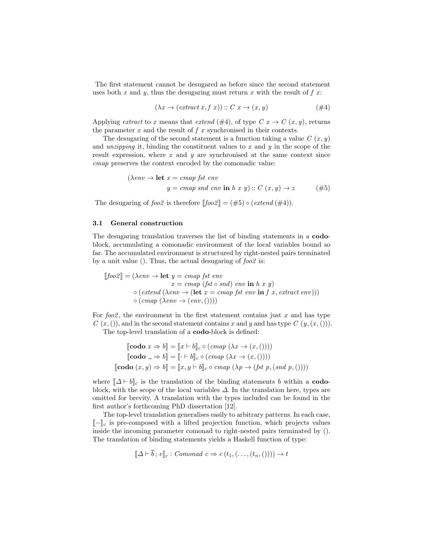The first statement cannot be desugared as before since the second statement uses both x and y, thus the desugaring must return x with the result of  $f(x)$ :

$$
(\lambda x \to (extract\ x, f\ x)) :: C\ x \to (x, y) \tag{#4}
$$

Applying extract to x means that extend (#4), of type  $C x \rightarrow C (x, y)$ , returns the parameter  $x$  and the result of  $f$  x synchronised in their contexts.

The desugaring of the second statement is a function taking a value  $C(x, y)$ and unzipping it, binding the constituent values to  $x$  and  $y$  in the scope of the result expression, where  $x$  and  $y$  are synchronised at the same context since cmap preserves the context encoded by the comonadic value:

$$
(\lambda env \to \text{let } x = \text{cmap } \text{fst } \text{env}
$$

$$
y = \text{cmap } \text{snd } \text{env } \text{in } h \text{ } x \text{ } y) :: C \text{ } (x, y) \to z \qquad (\#5)
$$

The desugaring of  $f\circ 2$  is therefore  $\llbracket f\circ 2 \rrbracket = (\#5) \circ (extend (\#4)).$ 

#### 3.1 General construction

The desugaring translation traverses the list of binding statements in a codoblock, accumulating a comonadic environment of the local variables bound so far. The accumulated environment is structured by right-nested pairs terminated by a unit value (). Thus, the actual desugaring of  $f\omega\mathcal{Z}$  is:

$$
\llbracket \text{foo2} \rrbracket = (\lambda \text{env} \rightarrow \text{let } y = \text{cmap } \text{fst } \text{env}
$$
\n
$$
x = \text{cmap } (\text{fst} \circ \text{snd}) \text{ env } \text{in } h \text{ x } y)
$$
\n
$$
\circ (\text{extend } (\lambda \text{env} \rightarrow (\text{let } x = \text{cmap } \text{fst } \text{env } \text{in } f \text{ x}, \text{extract } \text{env})))
$$
\n
$$
\circ (\text{cmap } (\lambda \text{env} \rightarrow (\text{env},)))
$$

For  $f\circ 2$ , the environment in the first statement contains just x and has type  $C(x, ())$ , and in the second statement contains x and y and has type  $C(y, (x, ()))$ .

The top-level translation of a codo-block is defined:

$$
\begin{aligned}\n\left[\mathbf{code} \, x \Rightarrow b\right] &= \left[x \vdash b\right]_c \circ (cmap\ (\lambda x \to (x, ())))\\
\left[\mathbf{code} - \Rightarrow b\right] &= \left[\cdot \vdash b\right]_c \circ (cmap\ (\lambda x \to (x, ())))\\
\left[\mathbf{code} \, (x, y) \Rightarrow b\right] &= \left[\left[x, y \vdash b\right]_c \circ cmap\ (\lambda p \to (fst\ p, (snd\ p, ())))\n\end{aligned}
$$

where  $[\![\Delta \vdash b]\!]_c$  is the translation of the binding statements b within a **codo**block, with the scope of the local variables  $\Delta$ . In the translation here, types are omitted for brevity. A translation with the types included can be found in the first author's forthcoming PhD dissertation [12].

The top-level translation generalises easily to arbitrary patterns. In each case,  $\llbracket - \rrbracket_c$  is pre-composed with a lifted projection function, which projects values inside the incoming parameter comonad to right-nested pairs terminated by (). The translation of binding statements yields a Haskell function of type:

$$
[\![\Delta \vdash \overline{b} \,;\, e]\!]_c : \text{Comonad } c \Rightarrow c \,(t_1,(\ldots,(t_n,(\ldots)))) \to t
$$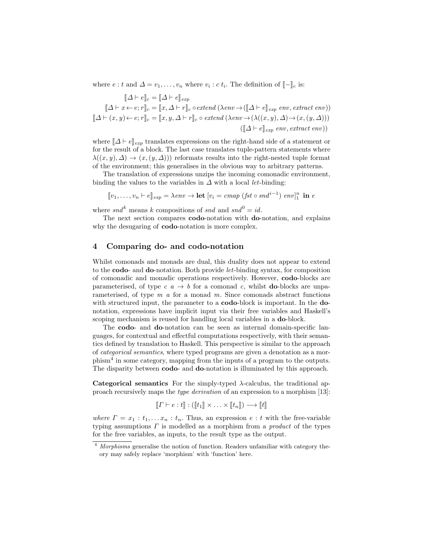where  $e : t$  and  $\Delta = v_1, \ldots, v_n$  where  $v_i : c \, t_i$ . The definition of  $[\![ - ]\!]_c$  is:

$$
\llbracket \Delta \vdash e \rrbracket_c = \llbracket \Delta \vdash e \rrbracket_{exp} \llbracket \Delta \vdash x \leftarrow e; r \rrbracket_c = \llbracket x, \Delta \vdash r \rrbracket_c \circ extend \ (\lambda env \rightarrow (\llbracket \Delta \vdash e \rrbracket_{exp} env, extract\ env)) \llbracket \Delta \vdash (x, y) \leftarrow e; r \rrbracket_c = \llbracket x, y, \Delta \vdash r \rrbracket_c \circ extend \ (\lambda env \rightarrow (\lambda((x, y), \Delta) \rightarrow (x, (y, \Delta))) \llbracket \Delta \vdash e \rrbracket_{exp} env, extract\ env)) \llbracket \Delta \vdash e \rrbracket_{exp} env
$$

where  $[\![\Delta \vdash e]\!]_{exp}$  translates expressions on the right-hand side of a statement or for the result of a block. The last case translates tuple-pattern statements where  $\lambda((x, y), \Delta) \rightarrow (x, (y, \Delta))$  reformats results into the right-nested tuple format of the environment; this generalises in the obvious way to arbitrary patterns.

The translation of expressions unzips the incoming comonadic environment, binding the values to the variables in  $\Delta$  with a local let-binding:

$$
[\![v_1,\ldots,v_n\vdash e]\!]_{exp} = \lambda env \rightarrow \textbf{let } [v_i = cmap (fst \circ sud^{i-1}) env]^n \textbf{ in } e
$$

where snd<sup>k</sup> means k compositions of snd and snd<sup>0</sup> = id.

The next section compares codo-notation with do-notation, and explains why the desugaring of **codo**-notation is more complex.

### 4 Comparing do- and codo-notation

Whilst comonads and monads are dual, this duality does not appear to extend to the codo- and do-notation. Both provide let-binding syntax, for composition of comonadic and monadic operations respectively. However, codo-blocks are parameterised, of type c  $a \rightarrow b$  for a comonad c, whilst **do**-blocks are unparameterised, of type  $m$  a for a monad  $m$ . Since comonads abstract functions with structured input, the parameter to a **codo**-block is important. In the **do**notation, expressions have implicit input via their free variables and Haskell's scoping mechanism is reused for handling local variables in a do-block.

The codo- and do-notation can be seen as internal domain-specific languages, for contextual and effectful computations respectively, with their semantics defined by translation to Haskell. This perspective is similar to the approach of categorical semantics, where typed programs are given a denotation as a morphism<sup>4</sup> in some category, mapping from the inputs of a program to the outputs. The disparity between codo- and do-notation is illuminated by this approach.

Categorical semantics For the simply-typed  $\lambda$ -calculus, the traditional approach recursively maps the type derivation of an expression to a morphism [13]:

$$
\llbracket \Gamma \vdash e : t \rrbracket : (\llbracket t_1 \rrbracket \times \ldots \times \llbracket t_n \rrbracket) \longrightarrow \llbracket t \rrbracket
$$

where  $\Gamma = x_1 : t_1, \ldots, x_n : t_n$ . Thus, an expression  $e : t$  with the free-variable typing assumptions  $\Gamma$  is modelled as a morphism from a *product* of the types for the free variables, as inputs, to the result type as the output.

<sup>4</sup> Morphisms generalise the notion of function. Readers unfamiliar with category theory may safely replace 'morphism' with 'function' here.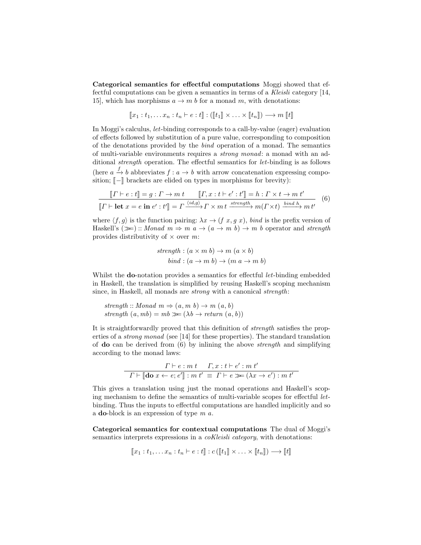Categorical semantics for effectful computations Moggi showed that effectful computations can be given a semantics in terms of a Kleisli category [14, 15], which has morphisms  $a \to m b$  for a monad m, with denotations:

$$
[\![x_1: t_1, \ldots x_n: t_n \vdash e:t]\!] : ([\![t_1]\!] \times \ldots \times [\![t_n]\!] ) \longrightarrow m [\![t]\!]
$$

In Moggi's calculus, let-binding corresponds to a call-by-value (eager) evaluation of effects followed by substitution of a pure value, corresponding to composition of the denotations provided by the bind operation of a monad. The semantics of multi-variable environments requires a strong monad: a monad with an additional strength operation. The effectful semantics for let-binding is as follows (here  $a \xrightarrow{f} b$  abbreviates  $f : a \to b$  with arrow concatenation expressing composition;  $\llbracket - \rrbracket$  brackets are elided on types in morphisms for brevity):

$$
\frac{\llbracket \Gamma \vdash e : t \rrbracket = g : \Gamma \to m \ t \qquad \llbracket \Gamma, x : t \vdash e' : t' \rrbracket = h : \Gamma \times t \to m \ t'}{\llbracket \Gamma \vdash \text{let } x = e \text{ in } e' : t' \rrbracket = \Gamma \xrightarrow{\langle id, g \rangle} \Gamma \times m \ t \xrightarrow{strength} m(\Gamma \times t) \xrightarrow{bind \ h} m \ t'} \tag{6}
$$

where  $\langle f, g \rangle$  is the function pairing:  $\lambda x \rightarrow (f \ x, g \ x)$ , bind is the prefix version of Haskell's  $(\ggg):$  Monad  $m \Rightarrow m \ a \rightarrow (a \rightarrow m \ b) \rightarrow m \ b$  operator and strength provides distributivity of  $\times$  over m:

$$
strength: (a \times m b) \to m (a \times b)
$$
  

$$
bind: (a \to m b) \to (m a \to m b)
$$

Whilst the **do**-notation provides a semantics for effectful *let*-binding embedded in Haskell, the translation is simplified by reusing Haskell's scoping mechanism since, in Haskell, all monads are strong with a canonical strength:

strength :: Monad  $m \Rightarrow (a, m, b) \rightarrow m (a, b)$ strength  $(a, mb) = mb \ggg (\lambda b \rightarrow return (a, b))$ 

It is straightforwardly proved that this definition of strength satisfies the properties of a strong monad (see [14] for these properties). The standard translation of **do** can be derived from  $(6)$  by inlining the above *strength* and simplifying according to the monad laws:

$$
\frac{\Gamma \vdash e : m \ t \quad \Gamma, x : t \vdash e' : m \ t'}{\Gamma \vdash [\text{do } x \leftarrow e; e'] : m \ t' \ \equiv \ \Gamma \vdash e \ \text{ge} \ (\lambda x \rightarrow e') : m \ t'}
$$

This gives a translation using just the monad operations and Haskell's scoping mechanism to define the semantics of multi-variable scopes for effectful letbinding. Thus the inputs to effectful computations are handled implicitly and so a do-block is an expression of type m a.

Categorical semantics for contextual computations The dual of Moggi's semantics interprets expressions in a *coKleisli category*, with denotations:

$$
[\![x_1: t_1, \ldots x_n: t_n \vdash e:t]\!] : c([\![t_1]\!]\times \ldots \times [\![t_n]\!]) \longrightarrow [\![t]\!]
$$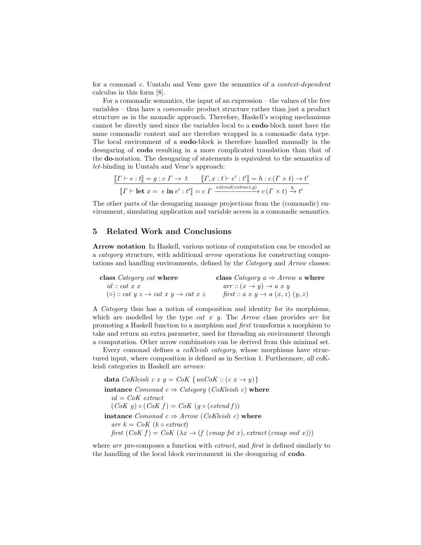for a comonad c. Uustalu and Vene gave the semantics of a context-dependent calculus in this form [8].

For a comonadic semantics, the input of an expression – the values of the free variables – thus have a comonadic product structure rather than just a product structure as in the monadic approach. Therefore, Haskell's scoping mechanisms cannot be directly used since the variables local to a codo-block must have the same comonadic context and are therefore wrapped in a comonadic data type. The local environment of a codo-block is therefore handled manually in the desugaring of codo resulting in a more complicated translation than that of the do-notation. The desugaring of statements is equivalent to the semantics of let-binding in Uustalu and Vene's approach:

$$
\frac{\llbracket \varGamma \vdash e : t \rrbracket = g : c \varGamma \to t \qquad \llbracket \varGamma, x : t \vdash e' : t' \rrbracket = h : c (\varGamma \times t) \to t'}{\llbracket \varGamma \vdash \textbf{let } x = e \textbf{ in } e' : t' \rrbracket = c \varGamma \xrightarrow{\text{extend}(\text{extract}, g)} c (\varGamma \times t) \xrightarrow{h} t'}
$$

The other parts of the desugaring manage projections from the (comonadic) environment, simulating application and variable access in a comonadic semantics.

## 5 Related Work and Conclusions

Arrow notation In Haskell, various notions of computation can be encoded as a category structure, with additional arrow operations for constructing computations and handling environments, defined by the Category and Arrow classes:

| class <i>Category cat</i> where                              | class Category $a \Rightarrow Arrow\ a\ where$ |
|--------------------------------------------------------------|------------------------------------------------|
| id :: cat x x                                                | $arr :: (x \rightarrow y) \rightarrow a x y$   |
| (o) :: cat $y z \rightarrow c a t x y \rightarrow c a t x z$ | first :: $a x y \rightarrow a (x, z) (y, z)$   |

A Category thus has a notion of composition and identity for its morphisms, which are modelled by the type cat  $x$   $y$ . The Arrow class provides arr for promoting a Haskell function to a morphism and first transforms a morphism to take and return an extra parameter, used for threading an environment through a computation. Other arrow combinators can be derived from this minimal set.

Every comonad defines a *coKleisli category*, whose morphisms have structured input, where composition is defined as in Section 1. Furthermore, all coKleisli categories in Haskell are arrows:

data CoKleisli c x  $y = C_0K \{unCoK : (c x \rightarrow y)\}\$ instance Comonad  $c \Rightarrow$  Category (CoKleisli c) where  $id = CoK$  extract  $(CoK g) \circ (CoK f) = CoK (g \circ (extend f))$ instance  $Comonad\ c \Rightarrow Arrow\ (CoKleisli\ c)$  where  $arr k = CoK (k \circ extract)$ first  $(CoK f) = CoK (\lambda x \rightarrow (f (cmap fst x), extract (cmap snd x)))$ 

where arr pre-composes a function with *extract*, and *first* is defined similarly to the handling of the local block environment in the desugaring of codo.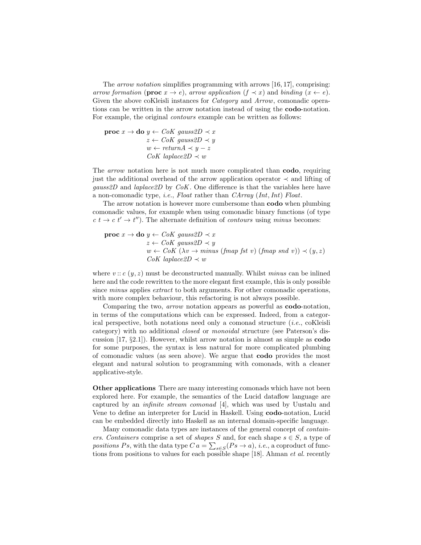The *arrow notation* simplifies programming with arrows  $[16, 17]$ , comprising: arrow formation ( $\mathbf{proc} \; x \to e$ ), arrow application  $(f \prec x)$  and binding  $(x \leftarrow e)$ . Given the above coKleisli instances for *Category* and *Arrow*, comonadic operations can be written in the arrow notation instead of using the codo-notation. For example, the original contours example can be written as follows:

$$
\begin{aligned}\n\text{proc } x \to \text{do } y \leftarrow \text{CoK} \text{ gauss2D} \prec x \\
z \leftarrow \text{CoK} \text{ gauss2D} \prec y \\
w \leftarrow \text{return} A \prec y - z \\
\text{CoK laplace2D} \prec w\n\end{aligned}
$$

The *arrow* notation here is not much more complicated than **codo**, requiring just the additional overhead of the arrow application operator  $\prec$  and lifting of gauss2D and laplace2D by  $CoK$ . One difference is that the variables here have a non-comonadic type, *i.e.*, Float rather than  $CArray(Int,Int)$  Float.

The arrow notation is however more cumbersome than codo when plumbing comonadic values, for example when using comonadic binary functions (of type  $c t \rightarrow c t' \rightarrow t''$ ). The alternate definition of *contours* using *minus* becomes:

$$
\begin{aligned}\n\text{proc } x \to \text{do } y \leftarrow \text{CoK} \text{ gauss2D} \prec x \\
z \leftarrow \text{CoK} \text{ gauss2D} \prec y \\
w \leftarrow \text{CoK} (\lambda v \to \text{minus} (\text{map } \text{fst } v) (\text{fmap } \text{snd } v)) \prec (y, z) \\
\text{CoK} \text{ laplace2D} \prec w\n\end{aligned}
$$

where  $v :: c (y, z)$  must be deconstructed manually. Whilst minus can be inlined here and the code rewritten to the more elegant first example, this is only possible since minus applies extract to both arguments. For other comonadic operations, with more complex behaviour, this refactoring is not always possible.

Comparing the two, arrow notation appears as powerful as codo-notation, in terms of the computations which can be expressed. Indeed, from a categorical perspective, both notations need only a comonad structure (i.e., coKleisli category) with no additional closed or monoidal structure (see Paterson's discussion  $[17, \S2.1]$ . However, whilst arrow notation is almost as simple as **codo** for some purposes, the syntax is less natural for more complicated plumbing of comonadic values (as seen above). We argue that codo provides the most elegant and natural solution to programming with comonads, with a cleaner applicative-style.

Other applications There are many interesting comonads which have not been explored here. For example, the semantics of the Lucid dataflow language are captured by an infinite stream comonad [4], which was used by Uustalu and Vene to define an interpreter for Lucid in Haskell. Using codo-notation, Lucid can be embedded directly into Haskell as an internal domain-specific language.

Many comonadic data types are instances of the general concept of containers. Containers comprise a set of shapes S and, for each shape  $s \in S$ , a type of positions Ps, with the data type  $C a = \sum_{s \in S} (Ps \to a)$ , *i.e.*, a coproduct of functions from positions to values for each possible shape [18]. Ahman et al. recently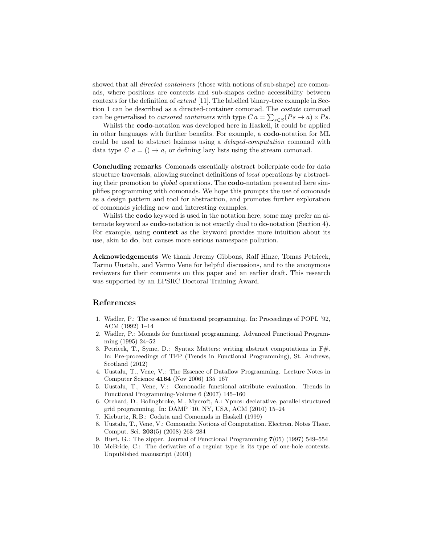showed that all *directed containers* (those with notions of sub-shape) are comonads, where positions are contexts and sub-shapes define accessibility between contexts for the definition of extend [11]. The labelled binary-tree example in Section 1 can be described as a directed-container comonad. The costate comonad can be generalised to *cursored containers* with type  $Ca = \sum_{s \in S} (Ps \rightarrow a) \times Ps$ .

Whilst the **codo-**notation was developed here in Haskell, it could be applied in other languages with further benefits. For example, a codo-notation for ML could be used to abstract laziness using a delayed-computation comonad with data type  $C \, a = () \rightarrow a$ , or defining lazy lists using the stream comonad.

Concluding remarks Comonads essentially abstract boilerplate code for data structure traversals, allowing succinct definitions of local operations by abstracting their promotion to *global* operations. The **codo**-notation presented here simplifies programming with comonads. We hope this prompts the use of comonads as a design pattern and tool for abstraction, and promotes further exploration of comonads yielding new and interesting examples.

Whilst the **codo** keyword is used in the notation here, some may prefer an alternate keyword as codo-notation is not exactly dual to do-notation (Section 4). For example, using context as the keyword provides more intuition about its use, akin to do, but causes more serious namespace pollution.

Acknowledgements We thank Jeremy Gibbons, Ralf Hinze, Tomas Petricek, Tarmo Uustalu, and Varmo Vene for helpful discussions, and to the anonymous reviewers for their comments on this paper and an earlier draft. This research was supported by an EPSRC Doctoral Training Award.

## References

- 1. Wadler, P.: The essence of functional programming. In: Proceedings of POPL '92, ACM (1992) 1–14
- 2. Wadler, P.: Monads for functional programming. Advanced Functional Programming (1995) 24–52
- 3. Petricek, T., Syme, D.: Syntax Matters: writing abstract computations in  $F#$ . In: Pre-proceedings of TFP (Trends in Functional Programming), St. Andrews, Scotland (2012)
- 4. Uustalu, T., Vene, V.: The Essence of Dataflow Programming. Lecture Notes in Computer Science 4164 (Nov 2006) 135–167
- 5. Uustalu, T., Vene, V.: Comonadic functional attribute evaluation. Trends in Functional Programming-Volume 6 (2007) 145–160
- 6. Orchard, D., Bolingbroke, M., Mycroft, A.: Ypnos: declarative, parallel structured grid programming. In: DAMP '10, NY, USA, ACM (2010) 15–24
- 7. Kieburtz, R.B.: Codata and Comonads in Haskell (1999)
- 8. Uustalu, T., Vene, V.: Comonadic Notions of Computation. Electron. Notes Theor. Comput. Sci. 203(5) (2008) 263–284
- 9. Huet, G.: The zipper. Journal of Functional Programming 7(05) (1997) 549–554
- 10. McBride, C.: The derivative of a regular type is its type of one-hole contexts. Unpublished manuscript (2001)